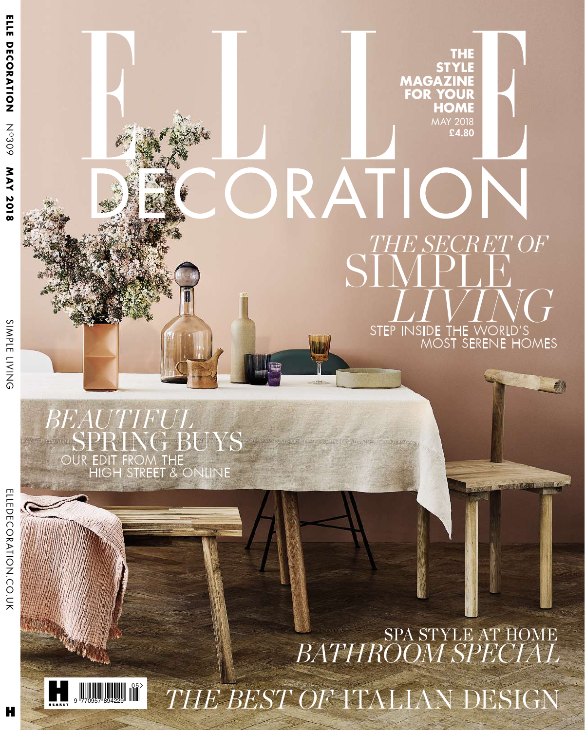*BEAUTIFUL*

OUR EDIT FROM THE

**SUYS** 

HIGH STREET & ONLINE

ELLEDEC ORATIO Z<br>C O<br>K

> 9 770957 894229 05 SPA STYLE AT HOME *BATHROOM SPECIAL THE BEST OF* ITALIAN DESIGN

*THE SECRET OF*

**THE STYLE**

**HOME** MAY 2018 £4.80

**MAGAZINE FOR YOUR**

*V*

*I*

 $\overline{\text{NG}}$ 

W

MOST SERENE HOMES

THE

SI

RATIC

STE

*L*

*I*

IDE

P INS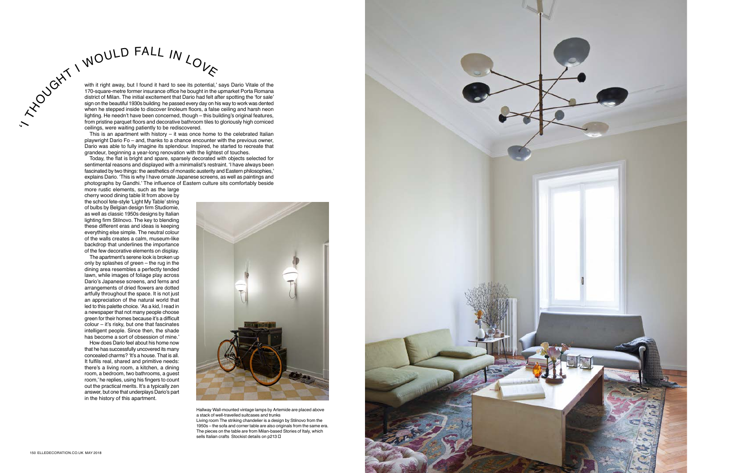with it right away, but I found it hard to see its potential,' says Dario Vitale of the 170-square-metre former insurance office he bought in the upmarket Porta Romana district of Milan. The initial excitement that Dario had felt after spotting the 'for sale' sign on the beautiful 1930s building he passed every day on his way to work was dented when he stepped inside to discover linoleum floors, a false ceiling and harsh neon lighting. He needn't have been concerned, though – this building's original features,<br>from pristine parquet floors and decorative bathroom tiles to gloriously high corniced from pristine parquet floors and decorative bathroom tiles to gloriously high corniced Trom pristine parquet floors and decorative bathroom<br>ceilings, were waiting patiently to be rediscovered.  $\begin{array}{}\n\mathcal{C}^{\mathcal{C}}\\
\mathcal{C}^{\mathcal{C}}\\
\mathcal{C}^{\mathcal{C}}\n\end{array}$  with it right away, but I found it hard to see its potential,<br>
170-square-metre former insurance office he bought in the<br>
district of Milan. The initial exciteme

This is an apartment with history – it was once home to the celebrated Italian playwright Dario Fo – and, thanks to a chance encounter with the previous owner, Dario was able to fully imagine its splendour. Inspired, he started to recreate that grandeur, beginning a year-long renovation with the lightest of touches.

Today, the flat is bright and spare, sparsely decorated with objects selected for sentimental reasons and displayed with a minimalist's restraint. 'I have always been fascinated by two things: the aesthetics of monastic austerity and Eastern philosophies,' explains Dario. 'This is why I have ornate Japanese screens, as well as paintings and photographs by Gandhi.' The influence of Eastern culture sits comfortably beside

> Living room The striking chandelier is a design by Stilnovo from the 1950s – the sofa and corner table are also originals from the same era. The pieces on the table are from Milan-based Stories of Italy, which sells Italian crafts Stockist details on p213 □



more rustic elements, such as the large cherry wood dining table lit from above by the school fete-style 'Light My Table' string of bulbs by Belgian design firm Studiomie, as well as classic 1950s designs by Italian lighting firm Stilnovo. The key to blending these different eras and ideas is keeping everything else simple. The neutral colour of the walls creates a calm, museum-like backdrop that underlines the importance of the few decorative elements on display.

The apartment's serene look is broken up only by splashes of green – the rug in the dining area resembles a perfectly tended lawn, while images of foliage play across Dario's Japanese screens, and ferns and arrangements of dried flowers are dotted artfully throughout the space. It is not just an appreciation of the natural world that led to this palette choice. 'As a kid, I read in a newspaper that not many people choose green for their homes because it's a difficult colour – it's risky, but one that fascinates intelligent people. Since then, the shade has become a sort of obsession of mine.'

How does Dario feel about his home now that he has successfully uncovered its many concealed charms? 'It's a house. That is all. It fulfils real, shared and primitive needs: there's a living room, a kitchen, a dining room, a bedroom, two bathrooms, a guest room,' he replies, using his fingers to count out the practical merits. It's a typically zen answer, but one that underplays Dario's part in the history of this apartment.



Hallway Wall-mounted vintage lamps by Artemide are placed above a stack of well-travelled suitcases and trunks